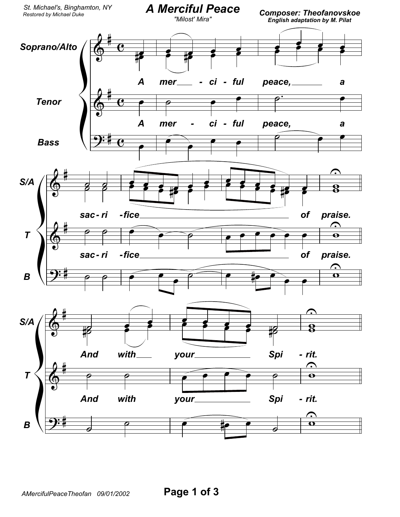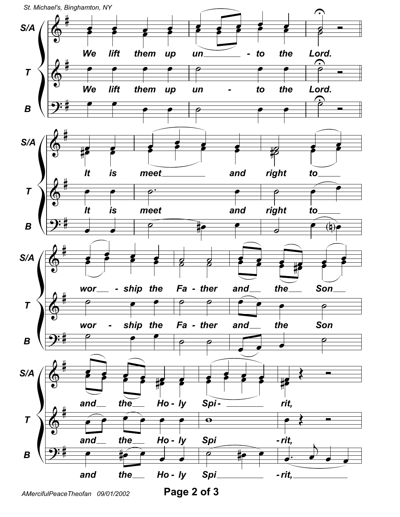